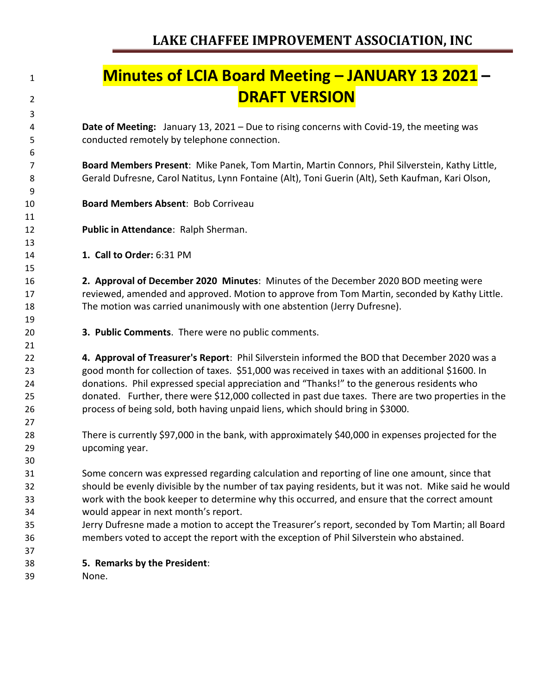# **Minutes of LCIA Board Meeting – JANUARY 13 2021 – DRAFT VERSION**

 **Date of Meeting:** January 13, 2021 – Due to rising concerns with Covid-19, the meeting was conducted remotely by telephone connection.

 **Board Members Present**: Mike Panek, Tom Martin, Martin Connors, Phil Silverstein, Kathy Little, Gerald Dufresne, Carol Natitus, Lynn Fontaine (Alt), Toni Guerin (Alt), Seth Kaufman, Kari Olson,

- **Board Members Absent**: Bob Corriveau
- **Public in Attendance**: Ralph Sherman.
- **1. Call to Order:** 6:31 PM

 **2. Approval of December 2020 Minutes**: Minutes of the December 2020 BOD meeting were reviewed, amended and approved. Motion to approve from Tom Martin, seconded by Kathy Little. The motion was carried unanimously with one abstention (Jerry Dufresne).

**3. Public Comments**. There were no public comments.

 **4. Approval of Treasurer's Report**: Phil Silverstein informed the BOD that December 2020 was a good month for collection of taxes. \$51,000 was received in taxes with an additional \$1600. In donations. Phil expressed special appreciation and "Thanks!" to the generous residents who donated. Further, there were \$12,000 collected in past due taxes. There are two properties in the process of being sold, both having unpaid liens, which should bring in \$3000.

 There is currently \$97,000 in the bank, with approximately \$40,000 in expenses projected for the upcoming year.

 Some concern was expressed regarding calculation and reporting of line one amount, since that should be evenly divisible by the number of tax paying residents, but it was not. Mike said he would work with the book keeper to determine why this occurred, and ensure that the correct amount would appear in next month's report.

- Jerry Dufresne made a motion to accept the Treasurer's report, seconded by Tom Martin; all Board members voted to accept the report with the exception of Phil Silverstein who abstained.
- **5. Remarks by the President**:
- None.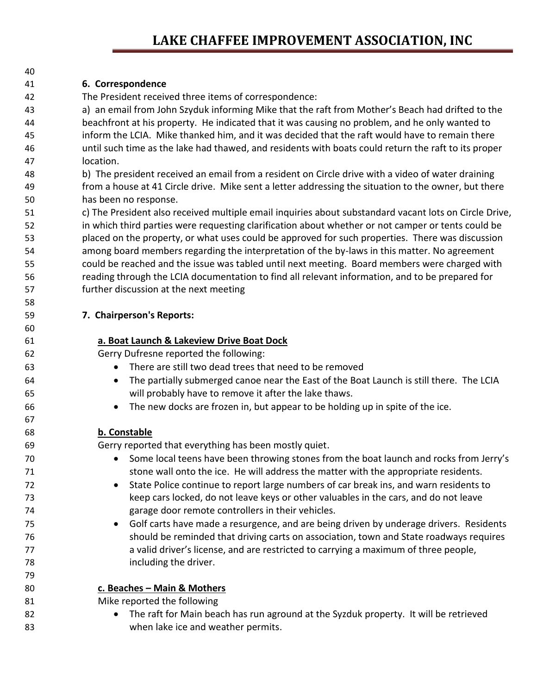### **LAKE CHAFFEE IMPROVEMENT ASSOCIATION, INC**

#### **6. Correspondence**

The President received three items of correspondence:

 a) an email from John Szyduk informing Mike that the raft from Mother's Beach had drifted to the beachfront at his property. He indicated that it was causing no problem, and he only wanted to inform the LCIA. Mike thanked him, and it was decided that the raft would have to remain there until such time as the lake had thawed, and residents with boats could return the raft to its proper location.

 b) The president received an email from a resident on Circle drive with a video of water draining from a house at 41 Circle drive. Mike sent a letter addressing the situation to the owner, but there has been no response.

 c) The President also received multiple email inquiries about substandard vacant lots on Circle Drive, in which third parties were requesting clarification about whether or not camper or tents could be placed on the property, or what uses could be approved for such properties. There was discussion among board members regarding the interpretation of the by-laws in this matter. No agreement could be reached and the issue was tabled until next meeting. Board members were charged with reading through the LCIA documentation to find all relevant information, and to be prepared for further discussion at the next meeting

**7. Chairperson's Reports:**

#### **a. Boat Launch & Lakeview Drive Boat Dock**

Gerry Dufresne reported the following:

- There are still two dead trees that need to be removed
- The partially submerged canoe near the East of the Boat Launch is still there. The LCIA will probably have to remove it after the lake thaws.
- The new docks are frozen in, but appear to be holding up in spite of the ice.

#### **b. Constable**

Gerry reported that everything has been mostly quiet.

- 70 Some local teens have been throwing stones from the boat launch and rocks from Jerry's stone wall onto the ice. He will address the matter with the appropriate residents.
- State Police continue to report large numbers of car break ins, and warn residents to keep cars locked, do not leave keys or other valuables in the cars, and do not leave garage door remote controllers in their vehicles.
- Golf carts have made a resurgence, and are being driven by underage drivers. Residents should be reminded that driving carts on association, town and State roadways requires a valid driver's license, and are restricted to carrying a maximum of three people, including the driver.
- **c. Beaches – Main & Mothers**
- Mike reported the following
- 82 The raft for Main beach has run aground at the Syzduk property. It will be retrieved when lake ice and weather permits.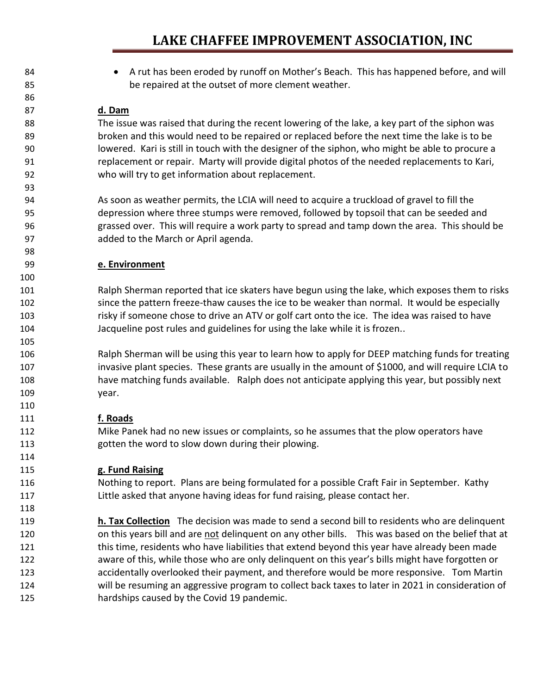### **LAKE CHAFFEE IMPROVEMENT ASSOCIATION, INC**

84 • A rut has been eroded by runoff on Mother's Beach. This has happened before, and will be repaired at the outset of more clement weather. **d. Dam** The issue was raised that during the recent lowering of the lake, a key part of the siphon was broken and this would need to be repaired or replaced before the next time the lake is to be lowered. Kari is still in touch with the designer of the siphon, who might be able to procure a replacement or repair. Marty will provide digital photos of the needed replacements to Kari, who will try to get information about replacement. As soon as weather permits, the LCIA will need to acquire a truckload of gravel to fill the depression where three stumps were removed, followed by topsoil that can be seeded and grassed over. This will require a work party to spread and tamp down the area. This should be added to the March or April agenda. **e. Environment** Ralph Sherman reported that ice skaters have begun using the lake, which exposes them to risks since the pattern freeze-thaw causes the ice to be weaker than normal. It would be especially risky if someone chose to drive an ATV or golf cart onto the ice. The idea was raised to have Jacqueline post rules and guidelines for using the lake while it is frozen.. Ralph Sherman will be using this year to learn how to apply for DEEP matching funds for treating invasive plant species. These grants are usually in the amount of \$1000, and will require LCIA to have matching funds available. Ralph does not anticipate applying this year, but possibly next year. **f. Roads** Mike Panek had no new issues or complaints, so he assumes that the plow operators have gotten the word to slow down during their plowing. **g. Fund Raising** Nothing to report. Plans are being formulated for a possible Craft Fair in September. Kathy Little asked that anyone having ideas for fund raising, please contact her. **h. Tax Collection** The decision was made to send a second bill to residents who are delinquent 120 on this years bill and are not delinquent on any other bills. This was based on the belief that at this time, residents who have liabilities that extend beyond this year have already been made aware of this, while those who are only delinquent on this year's bills might have forgotten or accidentally overlooked their payment, and therefore would be more responsive. Tom Martin will be resuming an aggressive program to collect back taxes to later in 2021 in consideration of hardships caused by the Covid 19 pandemic.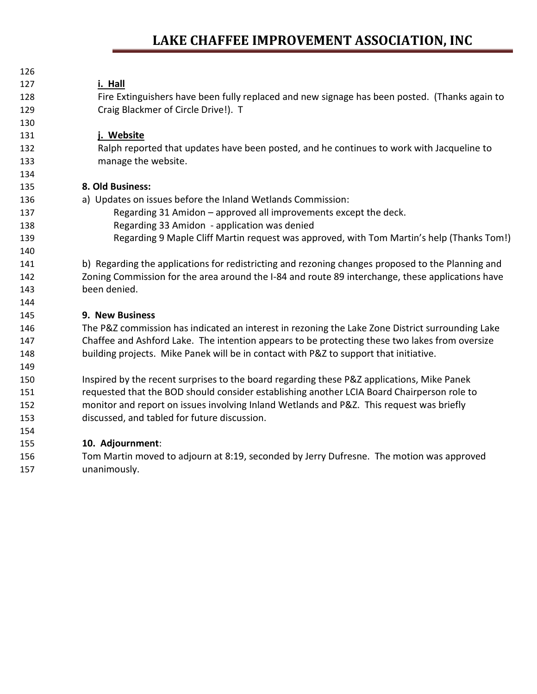## **LAKE CHAFFEE IMPROVEMENT ASSOCIATION, INC**

| 126 |                                                                                                   |
|-----|---------------------------------------------------------------------------------------------------|
| 127 | i. Hall                                                                                           |
| 128 | Fire Extinguishers have been fully replaced and new signage has been posted. (Thanks again to     |
| 129 | Craig Blackmer of Circle Drive!). T                                                               |
| 130 |                                                                                                   |
| 131 | j. Website                                                                                        |
| 132 | Ralph reported that updates have been posted, and he continues to work with Jacqueline to         |
| 133 | manage the website.                                                                               |
| 134 |                                                                                                   |
| 135 | 8. Old Business:                                                                                  |
| 136 | a) Updates on issues before the Inland Wetlands Commission:                                       |
| 137 | Regarding 31 Amidon - approved all improvements except the deck.                                  |
| 138 | Regarding 33 Amidon - application was denied                                                      |
| 139 | Regarding 9 Maple Cliff Martin request was approved, with Tom Martin's help (Thanks Tom!)         |
| 140 |                                                                                                   |
| 141 | b) Regarding the applications for redistricting and rezoning changes proposed to the Planning and |
| 142 | Zoning Commission for the area around the I-84 and route 89 interchange, these applications have  |
| 143 | been denied.                                                                                      |
| 144 |                                                                                                   |
| 145 | 9. New Business                                                                                   |
| 146 | The P&Z commission has indicated an interest in rezoning the Lake Zone District surrounding Lake  |
| 147 | Chaffee and Ashford Lake. The intention appears to be protecting these two lakes from oversize    |
| 148 | building projects. Mike Panek will be in contact with P&Z to support that initiative.             |
| 149 |                                                                                                   |
| 150 | Inspired by the recent surprises to the board regarding these P&Z applications, Mike Panek        |
| 151 | requested that the BOD should consider establishing another LCIA Board Chairperson role to        |
| 152 | monitor and report on issues involving Inland Wetlands and P&Z. This request was briefly          |
| 153 | discussed, and tabled for future discussion.                                                      |
| 154 |                                                                                                   |
| 155 | 10. Adjournment:                                                                                  |
| 156 | Tom Martin moved to adjourn at 8:19, seconded by Jerry Dufresne. The motion was approved          |

unanimously.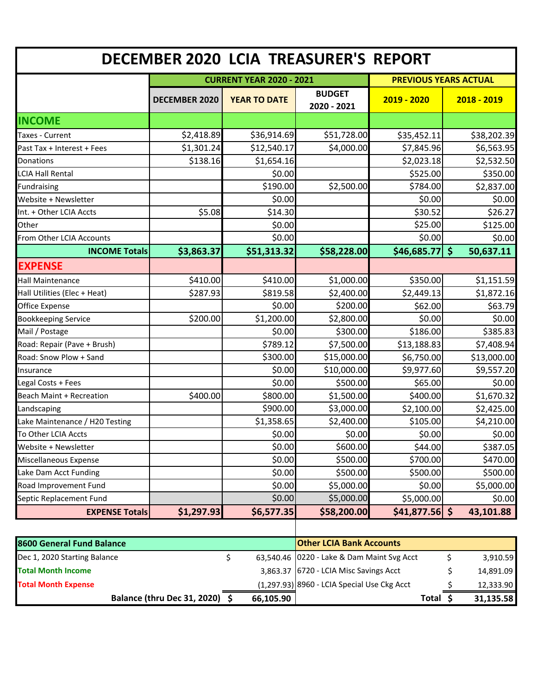| DECEMBER 2020 LCIA TREASURER'S REPORT |                                 |                     |                              |                              |                                 |  |
|---------------------------------------|---------------------------------|---------------------|------------------------------|------------------------------|---------------------------------|--|
|                                       | <b>CURRENT YEAR 2020 - 2021</b> |                     |                              | <b>PREVIOUS YEARS ACTUAL</b> |                                 |  |
|                                       | <b>DECEMBER 2020</b>            | <b>YEAR TO DATE</b> | <b>BUDGET</b><br>2020 - 2021 | $2019 - 2020$                | 2018 - 2019                     |  |
| <b>INCOME</b>                         |                                 |                     |                              |                              |                                 |  |
| Taxes - Current                       | \$2,418.89                      | \$36,914.69         | \$51,728.00                  | \$35,452.11                  | \$38,202.39                     |  |
| Past Tax + Interest + Fees            | \$1,301.24                      | \$12,540.17         | \$4,000.00                   | \$7,845.96                   | \$6,563.95                      |  |
| Donations                             | \$138.16                        | \$1,654.16          |                              | \$2,023.18                   | \$2,532.50                      |  |
| <b>LCIA Hall Rental</b>               |                                 | \$0.00              |                              | \$525.00                     | \$350.00                        |  |
| <b>Fundraising</b>                    |                                 | \$190.00            | \$2,500.00                   | \$784.00                     | \$2,837.00                      |  |
| Website + Newsletter                  |                                 | \$0.00              |                              | \$0.00                       | \$0.00                          |  |
| Int. + Other LCIA Accts               | \$5.08                          | \$14.30             |                              | \$30.52                      | \$26.27                         |  |
| Other                                 |                                 | \$0.00              |                              | \$25.00                      | \$125.00                        |  |
| From Other LCIA Accounts              |                                 | \$0.00              |                              | \$0.00                       | \$0.00                          |  |
| <b>INCOME Totals</b>                  | \$3,863.37                      | \$51,313.32         | \$58,228.00                  | \$46,685.77                  | $\dot{\mathsf{s}}$<br>50,637.11 |  |
| <b>EXPENSE</b>                        |                                 |                     |                              |                              |                                 |  |
| <b>Hall Maintenance</b>               | \$410.00                        | \$410.00            | \$1,000.00                   | \$350.00                     | \$1,151.59                      |  |
| Hall Utilities (Elec + Heat)          | \$287.93                        | \$819.58            | \$2,400.00                   | \$2,449.13                   | \$1,872.16                      |  |
| Office Expense                        |                                 | \$0.00              | \$200.00                     | \$62.00                      | \$63.79                         |  |
| <b>Bookkeeping Service</b>            | \$200.00                        | \$1,200.00          | \$2,800.00                   | \$0.00                       | \$0.00                          |  |
| Mail / Postage                        |                                 | \$0.00              | \$300.00                     | \$186.00                     | \$385.83                        |  |
| Road: Repair (Pave + Brush)           |                                 | \$789.12            | \$7,500.00                   | \$13,188.83                  | \$7,408.94                      |  |
| Road: Snow Plow + Sand                |                                 | \$300.00            | \$15,000.00                  | \$6,750.00                   | \$13,000.00                     |  |
| Insurance                             |                                 | \$0.00              | \$10,000.00                  | \$9,977.60                   | \$9,557.20                      |  |
| Legal Costs + Fees                    |                                 | \$0.00              | \$500.00                     | \$65.00                      | \$0.00                          |  |
| <b>Beach Maint + Recreation</b>       | \$400.00                        | \$800.00            | \$1,500.00                   | \$400.00                     | \$1,670.32                      |  |
| Landscaping                           |                                 | \$900.00            | \$3,000.00                   | \$2,100.00                   | \$2,425.00                      |  |
| Lake Maintenance / H20 Testing        |                                 | \$1,358.65          | \$2,400.00                   | \$105.00                     | \$4,210.00                      |  |
| To Other LCIA Accts                   |                                 | \$0.00              | \$0.00                       | \$0.00                       | \$0.00                          |  |
| Website + Newsletter                  |                                 | \$0.00              | \$600.00                     | \$44.00                      | \$387.05                        |  |
| Miscellaneous Expense                 |                                 | \$0.00              | \$500.00                     | \$700.00                     | \$470.00                        |  |
| Lake Dam Acct Funding                 |                                 | \$0.00              | \$500.00                     | \$500.00                     | \$500.00                        |  |
| Road Improvement Fund                 |                                 | \$0.00              | \$5,000.00                   | \$0.00                       | \$5,000.00                      |  |
| Septic Replacement Fund               |                                 | \$0.00              | \$5,000.00                   | \$5,000.00                   | \$0.00                          |  |
| <b>EXPENSE Totals</b>                 | \$1,297.93                      | \$6,577.35          | \$58,200.00                  | $$41,877.56$ \$              | 43,101.88                       |  |
|                                       |                                 |                     |                              |                              |                                 |  |

| 8600 General Fund Balance      |           | <b>Other LCIA Bank Accounts</b>             |          |           |
|--------------------------------|-----------|---------------------------------------------|----------|-----------|
| Dec 1, 2020 Starting Balance   |           | 63,540.46 0220 - Lake & Dam Maint Svg Acct  |          | 3,910.59  |
| <b>Total Month Income</b>      |           | 3,863.37 6720 - LCIA Misc Savings Acct      |          | 14,891.09 |
| <b>Total Month Expense</b>     |           | (1,297.93) 8960 - LCIA Special Use Ckg Acct |          | 12,333.90 |
| Balance (thru Dec 31, 2020) \$ | 66,105.90 |                                             | Total \$ | 31,135.58 |